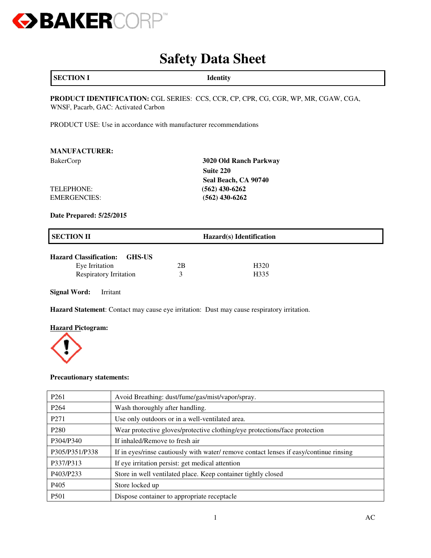

# **Safety Data Sheet**

| <b>SECTION I</b> | <b>Identity</b> |
|------------------|-----------------|
|------------------|-----------------|

**PRODUCT IDENTIFICATION:** CGL SERIES: CCS, CCR, CP, CPR, CG, CGR, WP, MR, CGAW, CGA, WNSF, Pacarb, GAC: Activated Carbon

PRODUCT USE: Use in accordance with manufacturer recommendations

| <b>MANUFACTURER:</b> |                        |
|----------------------|------------------------|
| <b>BakerCorp</b>     | 3020 Old Ranch Parkway |
|                      | Suite 220              |
|                      | Seal Beach, CA 90740   |
| TELEPHONE:           | $(562)$ 430-6262       |
| <b>EMERGENCIES:</b>  | $(562)$ 430-6262       |

**Date Prepared: 5/25/2015** 

| <b>SECTION II</b>                                         |    | Hazard(s) Identification |  |
|-----------------------------------------------------------|----|--------------------------|--|
| <b>Hazard Classification:</b><br>GHS-US<br>Eye Irritation | 2B | H <sub>320</sub>         |  |
| <b>Respiratory Irritation</b>                             |    | H335                     |  |

**Signal Word:** Irritant

**Hazard Statement**: Contact may cause eye irritation: Dust may cause respiratory irritation.

### **Hazard Pictogram:**



### **Precautionary statements:**

| P <sub>261</sub> | Avoid Breathing: dust/fume/gas/mist/vapor/spray.                                       |
|------------------|----------------------------------------------------------------------------------------|
| P <sub>264</sub> | Wash thoroughly after handling.                                                        |
| P <sub>271</sub> | Use only outdoors or in a well-ventilated area.                                        |
| P <sub>280</sub> | Wear protective gloves/protective clothing/eye protections/face protection             |
| P304/P340        | If inhaled/Remove to fresh air                                                         |
| P305/P351/P338   | If in eyes/rinse cautiously with water/ remove contact lenses if easy/continue rinsing |
| P337/P313        | If eye irritation persist: get medical attention                                       |
| P403/P233        | Store in well ventilated place. Keep container tightly closed                          |
| P <sub>405</sub> | Store locked up                                                                        |
| P <sub>501</sub> | Dispose container to appropriate receptacle                                            |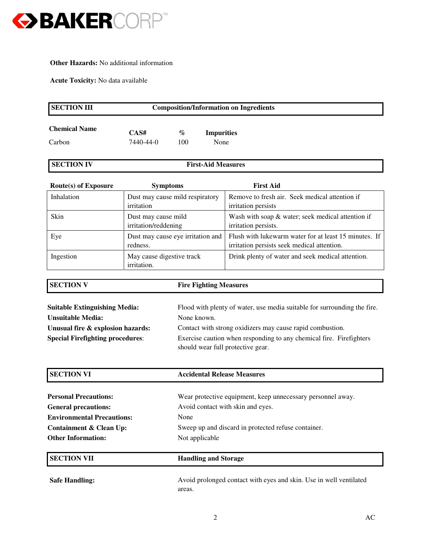

### **Other Hazards:** No additional information

**Acute Toxicity:** No data available

**Special Firefighting procedures**:

| <b>SECTION III</b>                   | <b>Composition/Information on Ingredients</b> |                                                           |                           |                                                                                                      |
|--------------------------------------|-----------------------------------------------|-----------------------------------------------------------|---------------------------|------------------------------------------------------------------------------------------------------|
| <b>Chemical Name</b><br>Carbon       | CAS#<br>7440-44-0                             | $\%$<br>100                                               | <b>Impurities</b><br>None |                                                                                                      |
| <b>SECTION IV</b>                    |                                               |                                                           | <b>First-Aid Measures</b> |                                                                                                      |
| <b>Route(s) of Exposure</b>          |                                               | <b>Symptoms</b>                                           |                           | <b>First Aid</b>                                                                                     |
| Inhalation                           | irritation                                    | Dust may cause mild respiratory                           |                           | Remove to fresh air. Seek medical attention if<br>irritation persists                                |
| Skin                                 | Dust may cause mild<br>irritation/reddening   |                                                           |                           | Wash with soap & water; seek medical attention if<br>irritation persists.                            |
| Eye                                  | Dust may cause eye irritation and<br>redness. |                                                           |                           | Flush with lukewarm water for at least 15 minutes. If<br>irritation persists seek medical attention. |
| Ingestion                            | May cause digestive track<br>irritation.      |                                                           |                           | Drink plenty of water and seek medical attention.                                                    |
| <b>SECTION V</b>                     |                                               | <b>Fire Fighting Measures</b>                             |                           |                                                                                                      |
| <b>Suitable Extinguishing Media:</b> |                                               |                                                           |                           | Flood with plenty of water, use media suitable for surrounding the fire.                             |
| <b>Unsuitable Media:</b>             |                                               | None known.                                               |                           |                                                                                                      |
| Unusual fire & explosion hazards:    |                                               | Contact with strong oxidizers may cause rapid combustion. |                           |                                                                                                      |

| Exercise caution when responding to any chemical fire. Firefighters |  |
|---------------------------------------------------------------------|--|
| should wear full protective gear.                                   |  |

| <b>SECTION VI</b>                 | <b>Accidental Release Measures</b>                                           |  |
|-----------------------------------|------------------------------------------------------------------------------|--|
|                                   |                                                                              |  |
| <b>Personal Precautions:</b>      | Wear protective equipment, keep unnecessary personnel away.                  |  |
| <b>General precautions:</b>       | Avoid contact with skin and eyes.                                            |  |
| <b>Environmental Precautions:</b> | None                                                                         |  |
| Containment & Clean Up:           | Sweep up and discard in protected refuse container.                          |  |
| <b>Other Information:</b>         | Not applicable                                                               |  |
| <b>SECTION VII</b>                | <b>Handling and Storage</b>                                                  |  |
| <b>Safe Handling:</b>             | Avoid prolonged contact with eyes and skin. Use in well ventilated<br>areas. |  |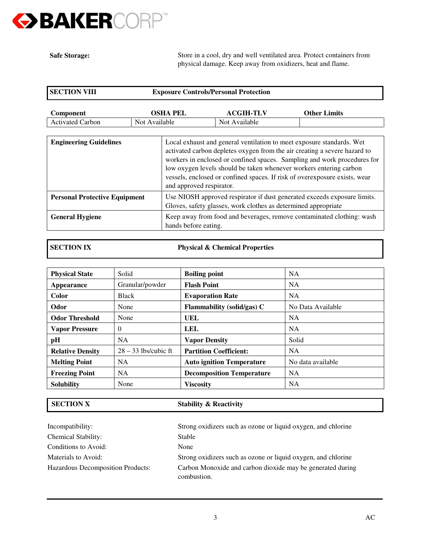

**Safe Storage:**

Store in a cool, dry and well ventilated area. Protect containers from physical damage. Keep away from oxidizers, heat and flame.

| <b>SECTION VIII</b>     | <b>Exposure Controls/Personal Protection</b> |                  |                     |
|-------------------------|----------------------------------------------|------------------|---------------------|
| Component               | OSHA PEL                                     | <b>ACGIH-TLV</b> | <b>Other Limits</b> |
| <b>Activated Carbon</b> | Not Available                                | Not Available    |                     |

| <b>Engineering Guidelines</b>        | Local exhaust and general ventilation to meet exposure standards. Wet<br>activated carbon depletes oxygen from the air creating a severe hazard to<br>workers in enclosed or confined spaces. Sampling and work procedures for<br>low oxygen levels should be taken whenever workers entering carbon<br>vessels, enclosed or confined spaces. If risk of overexposure exists, wear<br>and approved respirator. |  |
|--------------------------------------|----------------------------------------------------------------------------------------------------------------------------------------------------------------------------------------------------------------------------------------------------------------------------------------------------------------------------------------------------------------------------------------------------------------|--|
| <b>Personal Protective Equipment</b> | Use NIOSH approved respirator if dust generated exceeds exposure limits.<br>Gloves, safety glasses, work clothes as determined appropriate                                                                                                                                                                                                                                                                     |  |
| <b>General Hygiene</b>               | Keep away from food and beverages, remove contaminated clothing: wash<br>hands before eating.                                                                                                                                                                                                                                                                                                                  |  |

**SECTION IX Physical & Chemical Properties**

| <b>Physical State</b>   | Solid                  | <b>Boiling point</b>              | <b>NA</b>         |
|-------------------------|------------------------|-----------------------------------|-------------------|
| Appearance              | Granular/powder        | <b>Flash Point</b>                | <b>NA</b>         |
| Color                   | <b>Black</b>           | <b>Evaporation Rate</b>           | <b>NA</b>         |
| Odor                    | None                   | <b>Flammability (solid/gas) C</b> | No Data Available |
| <b>Odor Threshold</b>   | None                   | UEL                               | <b>NA</b>         |
| <b>Vapor Pressure</b>   | $\Omega$               | LEL                               | <b>NA</b>         |
| pH                      | <b>NA</b>              | <b>Vapor Density</b>              | Solid             |
| <b>Relative Density</b> | $28 - 33$ lbs/cubic ft | <b>Partition Coefficient:</b>     | <b>NA</b>         |
| <b>Melting Point</b>    | <b>NA</b>              | <b>Auto ignition Temperature</b>  | No data available |
| <b>Freezing Point</b>   | <b>NA</b>              | <b>Decomposition Temperature</b>  | <b>NA</b>         |
| <b>Solubility</b>       | None                   | <b>Viscosity</b>                  | <b>NA</b>         |

# **SECTION X** Stability & Reactivity

Incompatibility: Strong oxidizers such as ozone or liquid oxygen, and chlorine Chemical Stability: Stable Conditions to Avoid: None Materials to Avoid: Strong oxidizers such as ozone or liquid oxygen, and chlorine Hazardous Decomposition Products: Carbon Monoxide and carbon dioxide may be generated during combustion.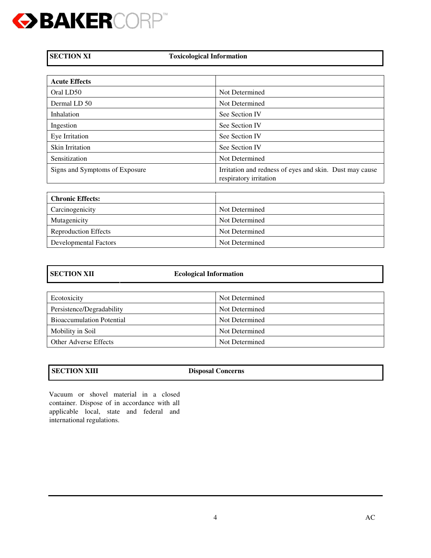

**Toxicological Information** 

| <b>Acute Effects</b>           |                                                                                   |
|--------------------------------|-----------------------------------------------------------------------------------|
| Oral LD50                      | Not Determined                                                                    |
| Dermal LD 50                   | Not Determined                                                                    |
| Inhalation                     | See Section IV                                                                    |
| Ingestion                      | See Section IV                                                                    |
| Eye Irritation                 | See Section IV                                                                    |
| Skin Irritation                | See Section IV                                                                    |
| Sensitization                  | Not Determined                                                                    |
| Signs and Symptoms of Exposure | Irritation and redness of eyes and skin. Dust may cause<br>respiratory irritation |

| <b>Chronic Effects:</b>     |                |
|-----------------------------|----------------|
| Carcinogenicity             | Not Determined |
| Mutagenicity                | Not Determined |
| <b>Reproduction Effects</b> | Not Determined |
| Developmental Factors       | Not Determined |

| <b>SECTION XII</b>               | <b>Ecological Information</b> |  |
|----------------------------------|-------------------------------|--|
|                                  |                               |  |
| Ecotoxicity                      | Not Determined                |  |
| Persistence/Degradability        | Not Determined                |  |
| <b>Bioaccumulation Potential</b> | Not Determined                |  |
| Mobility in Soil                 | Not Determined                |  |
| <b>Other Adverse Effects</b>     | Not Determined                |  |

**SECTION XIII** Disposal Concerns

Vacuum or shovel material in a closed container. Dispose of in accordance with all applicable local, state and federal and international regulations.